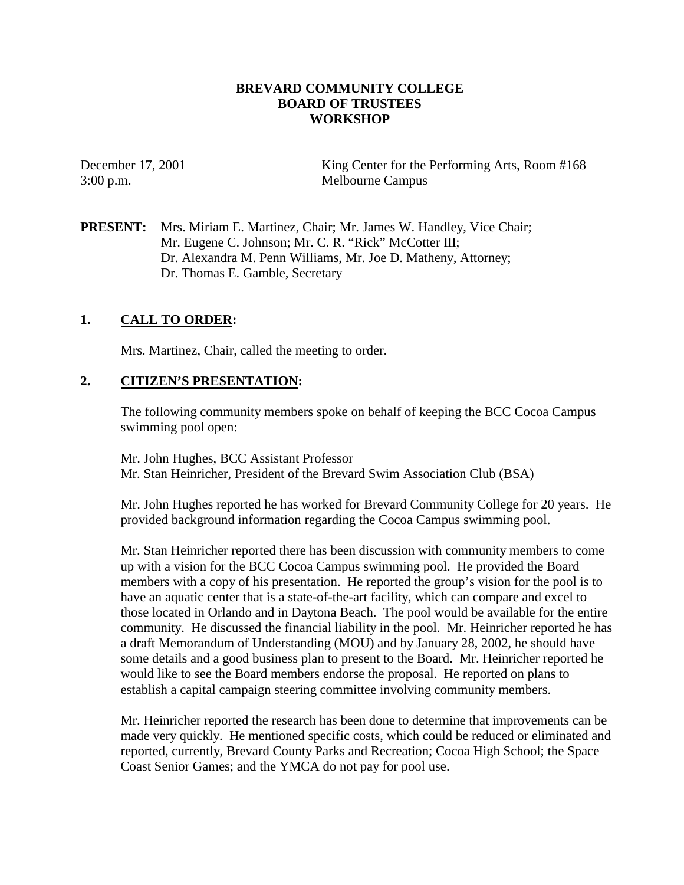## **BREVARD COMMUNITY COLLEGE BOARD OF TRUSTEES WORKSHOP**

December 17, 2001 King Center for the Performing Arts, Room #168 3:00 p.m. Melbourne Campus

**PRESENT:** Mrs. Miriam E. Martinez, Chair; Mr. James W. Handley, Vice Chair; Mr. Eugene C. Johnson; Mr. C. R. "Rick" McCotter III; Dr. Alexandra M. Penn Williams, Mr. Joe D. Matheny, Attorney; Dr. Thomas E. Gamble, Secretary

## **1. CALL TO ORDER:**

Mrs. Martinez, Chair, called the meeting to order.

## **2. CITIZEN'S PRESENTATION:**

The following community members spoke on behalf of keeping the BCC Cocoa Campus swimming pool open:

Mr. John Hughes, BCC Assistant Professor Mr. Stan Heinricher, President of the Brevard Swim Association Club (BSA)

Mr. John Hughes reported he has worked for Brevard Community College for 20 years. He provided background information regarding the Cocoa Campus swimming pool.

Mr. Stan Heinricher reported there has been discussion with community members to come up with a vision for the BCC Cocoa Campus swimming pool. He provided the Board members with a copy of his presentation. He reported the group's vision for the pool is to have an aquatic center that is a state-of-the-art facility, which can compare and excel to those located in Orlando and in Daytona Beach. The pool would be available for the entire community. He discussed the financial liability in the pool. Mr. Heinricher reported he has a draft Memorandum of Understanding (MOU) and by January 28, 2002, he should have some details and a good business plan to present to the Board. Mr. Heinricher reported he would like to see the Board members endorse the proposal. He reported on plans to establish a capital campaign steering committee involving community members.

Mr. Heinricher reported the research has been done to determine that improvements can be made very quickly. He mentioned specific costs, which could be reduced or eliminated and reported, currently, Brevard County Parks and Recreation; Cocoa High School; the Space Coast Senior Games; and the YMCA do not pay for pool use.